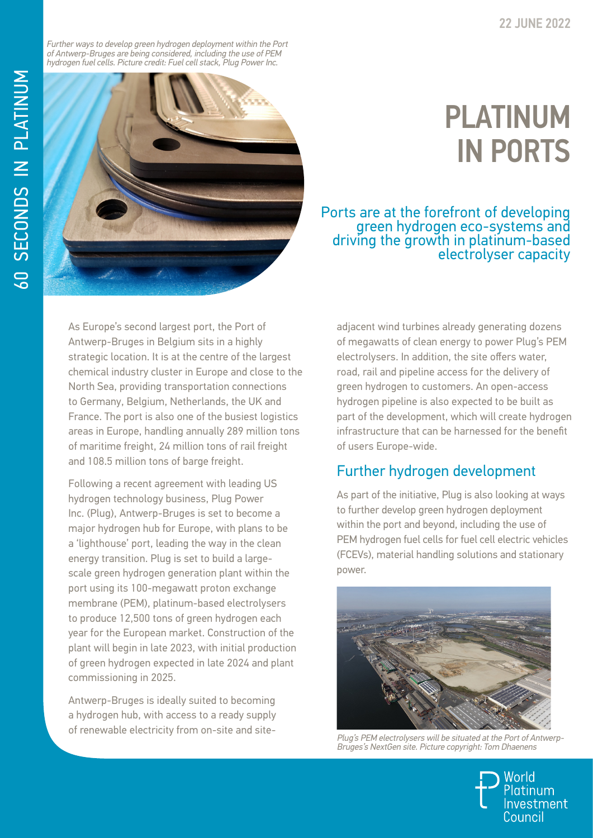Further ways to develop green hydrogen deployment within the Port of Antwerp-Bruges are being considered, including the use of PEM hydrogen fuel cells. Picture credit: Fuel cell stack, Plug Power Inc.



## PLATINUM IN PORTS

Ports are at the forefront of developing green hydrogen eco-systems and driving the growth in platinum-based electrolyser capacity

As Europe's second largest port, the Port of Antwerp-Bruges in Belgium sits in a highly strategic location. It is at the centre of the largest chemical industry cluster in Europe and close to the North Sea, providing transportation connections to Germany, Belgium, Netherlands, the UK and France. The port is also one of the busiest logistics areas in Europe, handling annually 289 million tons of maritime freight, 24 million tons of rail freight and 108.5 million tons of barge freight.

Following a recent agreement with leading US hydrogen technology business, Plug Power Inc. (Plug), Antwerp-Bruges is set to become a major hydrogen hub for Europe, with plans to be a 'lighthouse' port, leading the way in the clean energy transition. Plug is set to build a largescale green hydrogen generation plant within the port using its 100-megawatt proton exchange membrane (PEM), platinum-based electrolysers to produce 12,500 tons of green hydrogen each year for the European market. Construction of the plant will begin in late 2023, with initial production of green hydrogen expected in late 2024 and plant commissioning in 2025.

Antwerp-Bruges is ideally suited to becoming a hydrogen hub, with access to a ready supply of renewable electricity from on-site and siteadjacent wind turbines already generating dozens of megawatts of clean energy to power Plug's PEM electrolysers. In addition, the site offers water, road, rail and pipeline access for the delivery of green hydrogen to customers. An open-access hydrogen pipeline is also expected to be built as part of the development, which will create hydrogen infrastructure that can be harnessed for the benefit of users Europe-wide.

## Further hydrogen development

As part of the initiative, Plug is also looking at ways to further develop green hydrogen deployment within the port and beyond, including the use of PEM hydrogen fuel cells for fuel cell electric vehicles (FCEVs), material handling solutions and stationary power.



Plug's PEM electrolysers will be situated at the Port of Antwerp-Bruges's NextGen site. Picture copyright: Tom Dhaenens